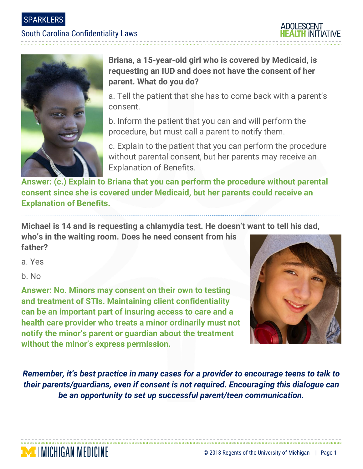SPARKLERS

### South Carolina Confidentiality Laws





## **Briana, a 15-year-old girl who is covered by Medicaid, is requesting an IUD and does not have the consent of her parent. What do you do?**

a. Tell the patient that she has to come back with a parent's consent.

b. Inform the patient that you can and will perform the procedure, but must call a parent to notify them.

c. Explain to the patient that you can perform the procedure without parental consent, but her parents may receive an Explanation of Benefits.

**Answer: (c.) Explain to Briana that you can perform the procedure without parental consent since she is covered under Medicaid, but her parents could receive an Explanation of Benefits.** 

**Michael is 14 and is requesting a chlamydia test. He doesn't want to tell his dad, who's in the waiting room. Does he need consent from his** 

**father?**

**MENICHIGAN MEDICINE** 

a. Yes

b. No

**Answer: No. Minors may consent on their own to testing and treatment of STIs. Maintaining client confidentiality can be an important part of insuring access to care and a health care provider who treats a minor ordinarily must not notify the minor's parent or guardian about the treatment without the minor's express permission.**



*Remember, it's best practice in many cases for a provider to encourage teens to talk to their parents/guardians, even if consent is not required. Encouraging this dialogue can be an opportunity to set up successful parent/teen communication.*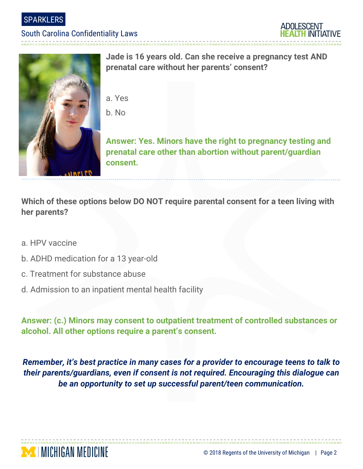**SPARKLERS** 

### South Carolina Confidentiality Laws





**Jade is 16 years old. Can she receive a pregnancy test AND prenatal care without her parents' consent?**

- a. Yes
- b. No

**Answer: Yes. Minors have the right to pregnancy testing and prenatal care other than abortion without parent/guardian consent.**

**Which of these options below DO NOT require parental consent for a teen living with her parents?**

- a. HPV vaccine
- b. ADHD medication for a 13 year-old
- c. Treatment for substance abuse

**MINICHIGAN MEDICINE** 

d. Admission to an inpatient mental health facility

**Answer: (c.) Minors may consent to outpatient treatment of controlled substances or alcohol. All other options require a parent's consent.** 

*Remember, it's best practice in many cases for a provider to encourage teens to talk to their parents/guardians, even if consent is not required. Encouraging this dialogue can be an opportunity to set up successful parent/teen communication.*